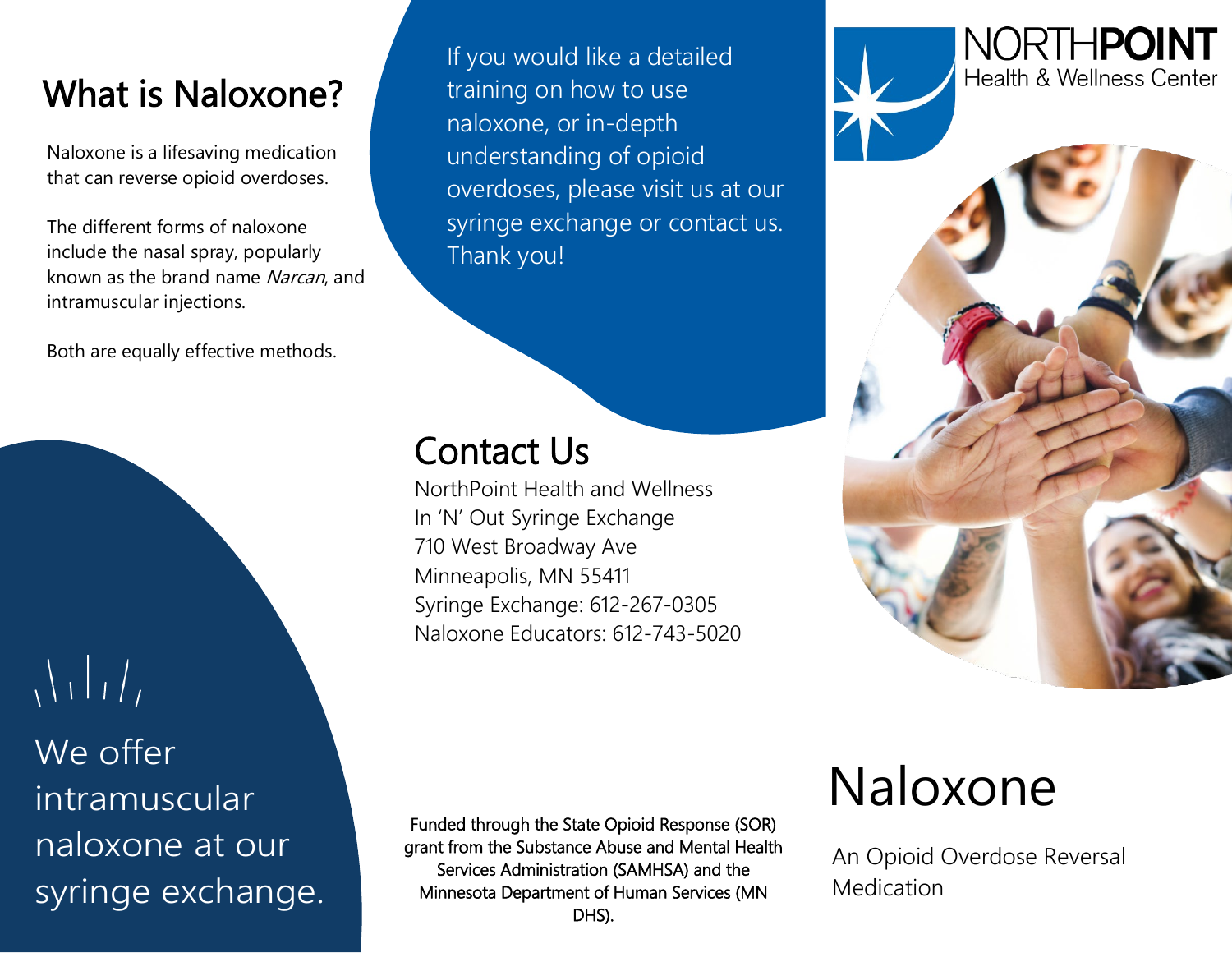## What is Naloxone?

 Naloxone is a lifesaving medication that can reverse opioid overdoses.

 The different forms of naloxone include the nasal spray, popularly known as the brand name Narcan, and intramuscular injections.

Both are equally effective methods.

 $\sqrt{11}/7$ We offer intramuscular naloxone at our syringe exchange.

If you would like a detailed training on how to use naloxone, or in-depth understanding of opioid overdoses, please visit us at our syringe exchange or contact us. Thank you!

# **Contact Us**<br>NorthPoint Health and Wellness

In 'N' Out Syringe Exchange 710 West Broadway Ave Minneapolis, MN 55411 Syringe Exchange: 612-267-0305 Naloxone Educators: 612-743-5020 NORTHPOINT Health & Wellness Center

Funded through the State Opioid Response (SOR) grant from the Substance Abuse and Mental Health Services Administration (SAMHSA) and the Minnesota Department of Human Services (MN DHS).

## Naloxone

An Opioid Overdose Reversal Medication